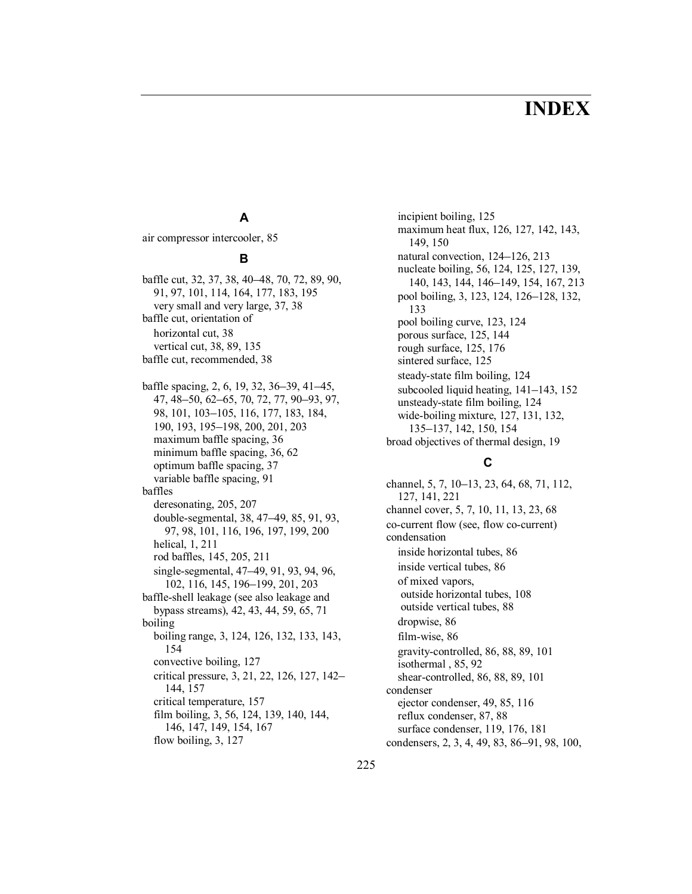# **INDEX**

# **A**

air compressor intercooler, 85

#### **B**

baffle cut, 32, 37, 38, 40–48, 70, 72, 89, 90, 91, 97, 101, 114, 164, 177, 183, 195 very small and very large, 37, 38 baffle cut, orientation of horizontal cut, 38 vertical cut, 38, 89, 135 baffle cut, recommended, 38

baffle spacing, 2, 6, 19, 32, 36–39, 41–45, 47, 48-50, 62-65, 70, 72, 77, 90-93, 97, 98, 101, 103–105, 116, 177, 183, 184, 190, 193, 195–198, 200, 201, 203 maximum baffle spacing, 36 minimum baffle spacing, 36, 62 optimum baffle spacing, 37 variable baffle spacing, 91 baffles deresonating, 205, 207 double-segmental, 38, 47–49, 85, 91, 93, 97, 98, 101, 116, 196, 197, 199, 200 helical, 1, 211 rod baffles, 145, 205, 211 single-segmental, 47–49, 91, 93, 94, 96, 102, 116, 145, 196-199, 201, 203 baffle-shell leakage (see also leakage and bypass streams), 42, 43, 44, 59, 65, 71 boiling boiling range, 3, 124, 126, 132, 133, 143, 154 convective boiling, 127 critical pressure, 3, 21, 22, 126, 127, 142– 144, 157 critical temperature, 157 film boiling, 3, 56, 124, 139, 140, 144, 146, 147, 149, 154, 167 flow boiling, 3, 127

incipient boiling, 125 maximum heat flux, 126, 127, 142, 143, 149, 150 natural convection,  $124-126$ ,  $213$ nucleate boiling, 56, 124, 125, 127, 139, 140, 143, 144, 146–149, 154, 167, 213 pool boiling, 3, 123, 124, 126–128, 132, 133 pool boiling curve, 123, 124 porous surface, 125, 144 rough surface, 125, 176 sintered surface, 125 steady-state film boiling, 124 subcooled liquid heating,  $141-143$ ,  $152$ unsteady-state film boiling, 124 wide-boiling mixture, 127, 131, 132, 135–137, 142, 150, 154 broad objectives of thermal design, 19

# **C**

channel, 5, 7, 10–13, 23, 64, 68, 71, 112, 127, 141, 221 channel cover, 5, 7, 10, 11, 13, 23, 68 co-current flow (see, flow co-current) condensation inside horizontal tubes, 86 inside vertical tubes, 86 of mixed vapors, outside horizontal tubes, 108 outside vertical tubes, 88 dropwise, 86 film-wise, 86 gravity-controlled, 86, 88, 89, 101 isothermal , 85, 92 shear-controlled, 86, 88, 89, 101 condenser ejector condenser, 49, 85, 116 reflux condenser, 87, 88 surface condenser, 119, 176, 181 condensers, 2, 3, 4, 49, 83, 86–91, 98, 100,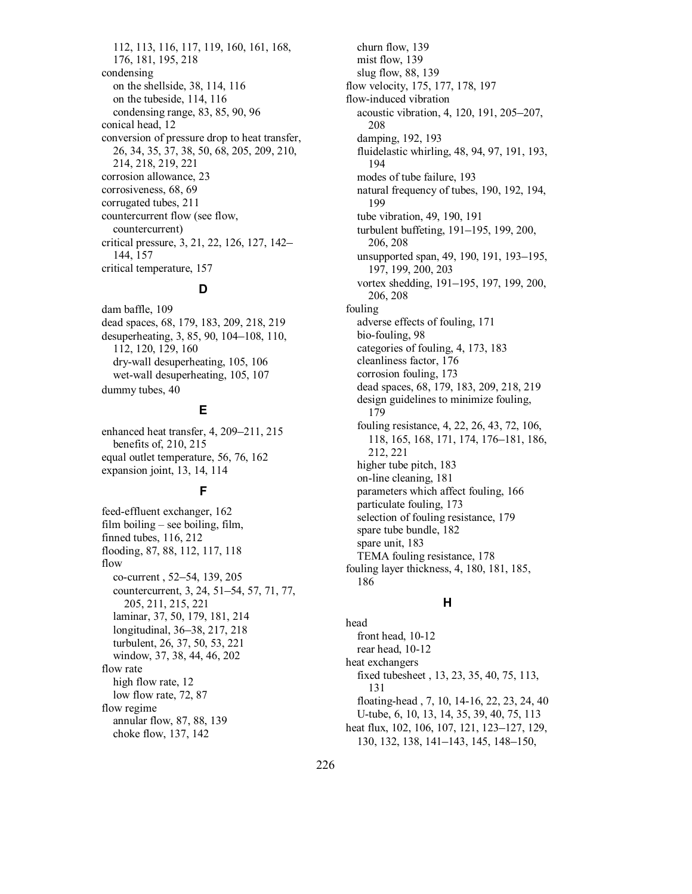112, 113, 116, 117, 119, 160, 161, 168, 176, 181, 195, 218 condensing on the shellside, 38, 114, 116 on the tubeside, 114, 116 condensing range, 83, 85, 90, 96 conical head, 12 conversion of pressure drop to heat transfer, 26, 34, 35, 37, 38, 50, 68, 205, 209, 210, 214, 218, 219, 221 corrosion allowance, 23 corrosiveness, 68, 69 corrugated tubes, 211 countercurrent flow (see flow, countercurrent) critical pressure, 3, 21, 22, 126, 127, 142– 144, 157 critical temperature, 157

# **D**

dam baffle, 109 dead spaces, 68, 179, 183, 209, 218, 219 desuperheating, 3, 85, 90, 104–108, 110, 112, 120, 129, 160 dry-wall desuperheating, 105, 106 wet-wall desuperheating, 105, 107 dummy tubes, 40

# **E**

enhanced heat transfer, 4, 209–211, 215 benefits of, 210, 215 equal outlet temperature, 56, 76, 162 expansion joint, 13, 14, 114

### **F**

feed-effluent exchanger, 162 film boiling  $-$  see boiling, film, finned tubes, 116, 212 flooding, 87, 88, 112, 117, 118 flow co-current, 52-54, 139, 205 countercurrent, 3, 24, 51–54, 57, 71, 77, 205, 211, 215, 221 laminar, 37, 50, 179, 181, 214 longitudinal, 36–38, 217, 218 turbulent, 26, 37, 50, 53, 221 window, 37, 38, 44, 46, 202 flow rate high flow rate, 12 low flow rate, 72, 87 flow regime annular flow, 87, 88, 139 choke flow, 137, 142

churn flow, 139 mist flow, 139 slug flow, 88, 139 flow velocity, 175, 177, 178, 197 flow-induced vibration acoustic vibration, 4, 120, 191, 205–207, 208 damping, 192, 193 fluidelastic whirling, 48, 94, 97, 191, 193, 194 modes of tube failure, 193 natural frequency of tubes, 190, 192, 194, 199 tube vibration, 49, 190, 191 turbulent buffeting, 191-195, 199, 200, 206, 208 unsupported span, 49, 190, 191, 193–195, 197, 199, 200, 203 vortex shedding, 191–195, 197, 199, 200, 206, 208 fouling adverse effects of fouling, 171 bio-fouling, 98 categories of fouling, 4, 173, 183 cleanliness factor, 176 corrosion fouling, 173 dead spaces, 68, 179, 183, 209, 218, 219 design guidelines to minimize fouling, 179 fouling resistance, 4, 22, 26, 43, 72, 106, 118, 165, 168, 171, 174, 176–181, 186, 212, 221 higher tube pitch, 183 on-line cleaning, 181 parameters which affect fouling, 166 particulate fouling, 173 selection of fouling resistance, 179 spare tube bundle, 182 spare unit, 183 TEMA fouling resistance, 178 fouling layer thickness, 4, 180, 181, 185, 186

#### **H**

head front head, 10-12 rear head, 10-12 heat exchangers fixed tubesheet , 13, 23, 35, 40, 75, 113, 131 floating-head , 7, 10, 14-16, 22, 23, 24, 40 U-tube, 6, 10, 13, 14, 35, 39, 40, 75, 113 heat flux, 102, 106, 107, 121, 123–127, 129, 130, 132, 138, 141–143, 145, 148–150,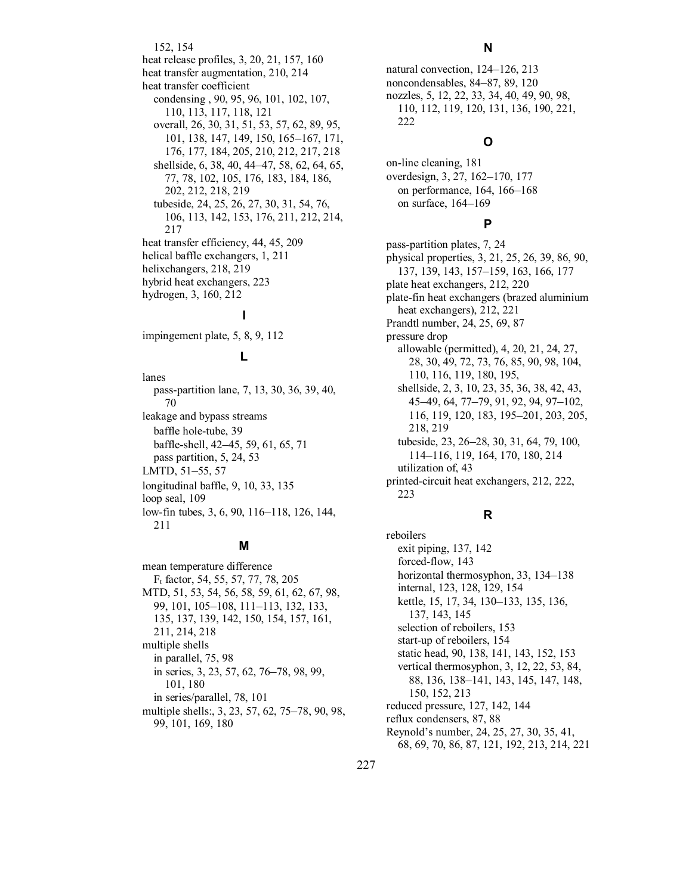152, 154 heat release profiles, 3, 20, 21, 157, 160 heat transfer augmentation, 210, 214 heat transfer coefficient condensing , 90, 95, 96, 101, 102, 107, 110, 113, 117, 118, 121 overall, 26, 30, 31, 51, 53, 57, 62, 89, 95, 101, 138, 147, 149, 150, 165–167, 171, 176, 177, 184, 205, 210, 212, 217, 218 shellside, 6, 38, 40, 44–47, 58, 62, 64, 65, 77, 78, 102, 105, 176, 183, 184, 186, 202, 212, 218, 219 tubeside, 24, 25, 26, 27, 30, 31, 54, 76, 106, 113, 142, 153, 176, 211, 212, 214, 217 heat transfer efficiency, 44, 45, 209 helical baffle exchangers, 1, 211 helixchangers, 218, 219 hybrid heat exchangers, 223 hydrogen, 3, 160, 212 **I** 

impingement plate, 5, 8, 9, 112

## **L**

lanes pass-partition lane, 7, 13, 30, 36, 39, 40, 70 leakage and bypass streams baffle hole-tube, 39 baffle-shell, 42–45, 59, 61, 65, 71 pass partition, 5, 24, 53 LMTD, 51-55, 57 longitudinal baffle, 9, 10, 33, 135 loop seal, 109 low-fin tubes, 3, 6, 90, 116–118, 126, 144, 211

#### **M**

mean temperature difference Ft factor, 54, 55, 57, 77, 78, 205 MTD, 51, 53, 54, 56, 58, 59, 61, 62, 67, 98, 99, 101, 105–108, 111–113, 132, 133, 135, 137, 139, 142, 150, 154, 157, 161, 211, 214, 218 multiple shells in parallel, 75, 98 in series, 3, 23, 57, 62, 76–78, 98, 99, 101, 180 in series/parallel, 78, 101 multiple shells:, 3, 23, 57, 62, 75–78, 90, 98, 99, 101, 169, 180

natural convection,  $124-126$ ,  $213$ noncondensables, 84–87, 89, 120 nozzles, 5, 12, 22, 33, 34, 40, 49, 90, 98, 110, 112, 119, 120, 131, 136, 190, 221, 222

#### **O**

on-line cleaning, 181 overdesign, 3, 27, 162–170, 177 on performance,  $164$ ,  $166-168$ on surface, 164-169

# **P**

pass-partition plates, 7, 24 physical properties, 3, 21, 25, 26, 39, 86, 90, 137, 139, 143, 157–159, 163, 166, 177 plate heat exchangers, 212, 220 plate-fin heat exchangers (brazed aluminium heat exchangers), 212, 221 Prandtl number, 24, 25, 69, 87 pressure drop allowable (permitted), 4, 20, 21, 24, 27, 28, 30, 49, 72, 73, 76, 85, 90, 98, 104, 110, 116, 119, 180, 195, shellside, 2, 3, 10, 23, 35, 36, 38, 42, 43, 45-49, 64, 77-79, 91, 92, 94, 97-102, 116, 119, 120, 183, 195–201, 203, 205, 218, 219 tubeside, 23, 26–28, 30, 31, 64, 79, 100, 114–116, 119, 164, 170, 180, 214 utilization of, 43 printed-circuit heat exchangers, 212, 222, 223

# **R**

reboilers exit piping, 137, 142 forced-flow, 143 horizontal thermosyphon, 33, 134-138 internal, 123, 128, 129, 154 kettle, 15, 17, 34, 130–133, 135, 136, 137, 143, 145 selection of reboilers, 153 start-up of reboilers, 154 static head, 90, 138, 141, 143, 152, 153 vertical thermosyphon, 3, 12, 22, 53, 84, 88, 136, 138–141, 143, 145, 147, 148, 150, 152, 213 reduced pressure, 127, 142, 144 reflux condensers, 87, 88 Reynold's number, 24, 25, 27, 30, 35, 41, 68, 69, 70, 86, 87, 121, 192, 213, 214, 221